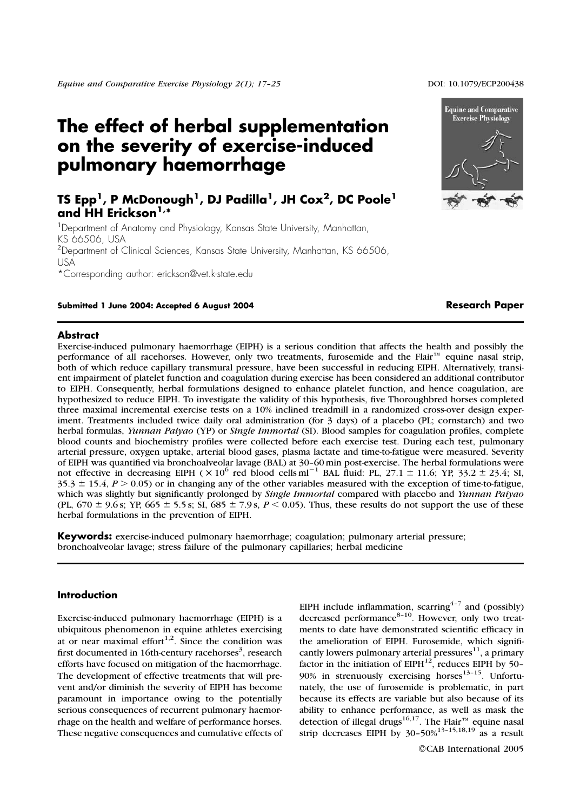# The effect of herbal supplementation on the severity of exercise-induced pulmonary haemorrhage

## TS Epp<sup>1</sup>, P McDonough<sup>1</sup>, DJ Padilla<sup>1</sup>, JH Cox<sup>2</sup>, DC Poole<sup>1</sup> and HH Erickson<sup>1,\*</sup>

<sup>1</sup>Department of Anatomy and Physiology, Kansas State University, Manhattan, KS 66506, USA <sup>2</sup>Department of Clinical Sciences, Kansas State University, Manhattan, KS 66506,  $IISA$ \*Corresponding author: erickson@vet.k-state.edu

#### Submitted 1 June 2004: Accepted 6 August 2004 **Research Paper** Research Paper



#### Abstract

Exercise-induced pulmonary haemorrhage (EIPH) is a serious condition that affects the health and possibly the performance of all racehorses. However, only two treatments, furosemide and the Flair<sup> $m$ </sup> equine nasal strip, both of which reduce capillary transmural pressure, have been successful in reducing EIPH. Alternatively, transient impairment of platelet function and coagulation during exercise has been considered an additional contributor to EIPH. Consequently, herbal formulations designed to enhance platelet function, and hence coagulation, are hypothesized to reduce EIPH. To investigate the validity of this hypothesis, five Thoroughbred horses completed three maximal incremental exercise tests on a 10% inclined treadmill in a randomized cross-over design experiment. Treatments included twice daily oral administration (for 3 days) of a placebo (PL; cornstarch) and two herbal formulas, Yunnan Paiyao (YP) or Single Immortal (SI). Blood samples for coagulation profiles, complete blood counts and biochemistry profiles were collected before each exercise test. During each test, pulmonary arterial pressure, oxygen uptake, arterial blood gases, plasma lactate and time-to-fatigue were measured. Severity of EIPH was quantified via bronchoalveolar lavage (BAL) at 30–60 min post-exercise. The herbal formulations were not effective in decreasing EIPH ( $\times 10^6$  red blood cells ml<sup>-1</sup> BAL fluid: PL, 27.1  $\pm$  11.6; YP, 33.2  $\pm$  23.4; SI,  $35.3 \pm 15.4$ ,  $P > 0.05$ ) or in changing any of the other variables measured with the exception of time-to-fatigue, which was slightly but significantly prolonged by Single Immortal compared with placebo and Yunnan Paiyao (PL, 670  $\pm$  9.6 s; YP, 665  $\pm$  5.5 s; SI, 685  $\pm$  7.9 s, P < 0.05). Thus, these results do not support the use of these herbal formulations in the prevention of EIPH.

**Keywords:** exercise-induced pulmonary haemorrhage; coagulation; pulmonary arterial pressure; bronchoalveolar lavage; stress failure of the pulmonary capillaries; herbal medicine

### Introduction

Exercise-induced pulmonary haemorrhage (EIPH) is a ubiquitous phenomenon in equine athletes exercising at or near maximal effort $1,2$ . Since the condition was first documented in 16th-century racehorses $3$ , research efforts have focused on mitigation of the haemorrhage. The development of effective treatments that will prevent and/or diminish the severity of EIPH has become paramount in importance owing to the potentially serious consequences of recurrent pulmonary haemorrhage on the health and welfare of performance horses. These negative consequences and cumulative effects of

EIPH include inflammation, scarring<sup>4-7</sup> and (possibly) decreased performance $8-10$ . However, only two treatments to date have demonstrated scientific efficacy in the amelioration of EIPH. Furosemide, which significantly lowers pulmonary arterial pressures $11$ , a primary factor in the initiation of  $EIPH^{12}$ , reduces  $EIPH$  by 50– 90% in strenuously exercising horses $13-15$ . Unfortunately, the use of furosemide is problematic, in part because its effects are variable but also because of its ability to enhance performance, as well as mask the detection of illegal drugs<sup>16,17</sup>. The Flair<sup>TM</sup> equine nasal strip decreases EIPH by  $30-50\%^{13-15,18,19}$  as a result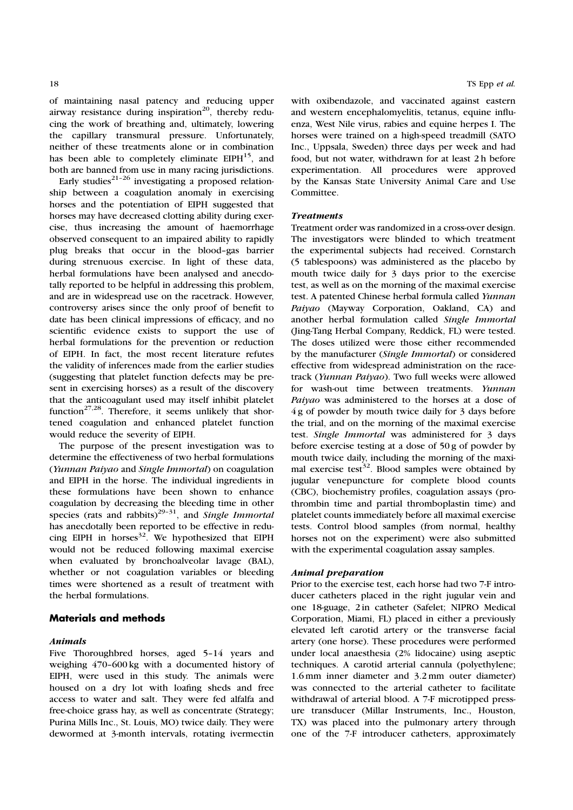of maintaining nasal patency and reducing upper airway resistance during inspiration<sup>20</sup>, thereby reducing the work of breathing and, ultimately, lowering the capillary transmural pressure. Unfortunately, neither of these treatments alone or in combination has been able to completely eliminate  $EIPH<sup>15</sup>$ , and both are banned from use in many racing jurisdictions.

Early studies $2^{1-26}$  investigating a proposed relationship between a coagulation anomaly in exercising horses and the potentiation of EIPH suggested that horses may have decreased clotting ability during exercise, thus increasing the amount of haemorrhage observed consequent to an impaired ability to rapidly plug breaks that occur in the blood–gas barrier during strenuous exercise. In light of these data, herbal formulations have been analysed and anecdotally reported to be helpful in addressing this problem, and are in widespread use on the racetrack. However, controversy arises since the only proof of benefit to date has been clinical impressions of efficacy, and no scientific evidence exists to support the use of herbal formulations for the prevention or reduction of EIPH. In fact, the most recent literature refutes the validity of inferences made from the earlier studies (suggesting that platelet function defects may be present in exercising horses) as a result of the discovery that the anticoagulant used may itself inhibit platelet function<sup>27,28</sup>. Therefore, it seems unlikely that shortened coagulation and enhanced platelet function would reduce the severity of EIPH.

The purpose of the present investigation was to determine the effectiveness of two herbal formulations (Yunnan Paiyao and Single Immortal) on coagulation and EIPH in the horse. The individual ingredients in these formulations have been shown to enhance coagulation by decreasing the bleeding time in other species (rats and rabbits)<sup>29-31</sup>, and *Single Immortal* has anecdotally been reported to be effective in reducing EIPH in horses $32$ . We hypothesized that EIPH would not be reduced following maximal exercise when evaluated by bronchoalveolar lavage (BAL), whether or not coagulation variables or bleeding times were shortened as a result of treatment with the herbal formulations.

#### Materials and methods

#### Animals

Five Thoroughbred horses, aged 5–14 years and weighing 470–600 kg with a documented history of EIPH, were used in this study. The animals were housed on a dry lot with loafing sheds and free access to water and salt. They were fed alfalfa and free-choice grass hay, as well as concentrate (Strategy; Purina Mills Inc., St. Louis, MO) twice daily. They were dewormed at 3-month intervals, rotating ivermectin with oxibendazole, and vaccinated against eastern and western encephalomyelitis, tetanus, equine influenza, West Nile virus, rabies and equine herpes I. The horses were trained on a high-speed treadmill (SATO Inc., Uppsala, Sweden) three days per week and had food, but not water, withdrawn for at least 2 h before experimentation. All procedures were approved by the Kansas State University Animal Care and Use Committee.

#### **Treatments**

Treatment order was randomized in a cross-over design. The investigators were blinded to which treatment the experimental subjects had received. Cornstarch (5 tablespoons) was administered as the placebo by mouth twice daily for 3 days prior to the exercise test, as well as on the morning of the maximal exercise test. A patented Chinese herbal formula called Yunnan Paiyao (Mayway Corporation, Oakland, CA) and another herbal formulation called Single Immortal (Jing-Tang Herbal Company, Reddick, FL) were tested. The doses utilized were those either recommended by the manufacturer (Single Immortal) or considered effective from widespread administration on the racetrack (Yunnan Paiyao). Two full weeks were allowed for wash-out time between treatments. Yunnan Paiyao was administered to the horses at a dose of 4 g of powder by mouth twice daily for 3 days before the trial, and on the morning of the maximal exercise test. Single Immortal was administered for 3 days before exercise testing at a dose of 50 g of powder by mouth twice daily, including the morning of the maximal exercise test $32$ . Blood samples were obtained by jugular venepuncture for complete blood counts (CBC), biochemistry profiles, coagulation assays (prothrombin time and partial thromboplastin time) and platelet counts immediately before all maximal exercise tests. Control blood samples (from normal, healthy horses not on the experiment) were also submitted with the experimental coagulation assay samples.

#### Animal preparation

Prior to the exercise test, each horse had two 7-F introducer catheters placed in the right jugular vein and one 18-guage, 2 in catheter (Safelet; NIPRO Medical Corporation, Miami, FL) placed in either a previously elevated left carotid artery or the transverse facial artery (one horse). These procedures were performed under local anaesthesia (2% lidocaine) using aseptic techniques. A carotid arterial cannula (polyethylene; 1.6 mm inner diameter and 3.2 mm outer diameter) was connected to the arterial catheter to facilitate withdrawal of arterial blood. A 7-F microtipped pressure transducer (Millar Instruments, Inc., Houston, TX) was placed into the pulmonary artery through one of the 7-F introducer catheters, approximately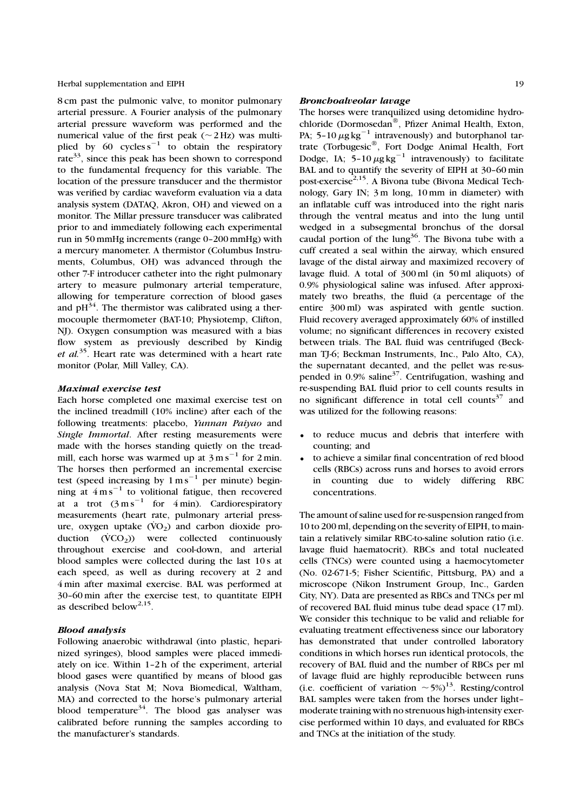Herbal supplementation and EIPH 19

8 cm past the pulmonic valve, to monitor pulmonary arterial pressure. A Fourier analysis of the pulmonary arterial pressure waveform was performed and the numerical value of the first peak ( $\sim$ 2 Hz) was multiplied by 60 cycles  $s^{-1}$  to obtain the respiratory rate<sup>33</sup>, since this peak has been shown to correspond to the fundamental frequency for this variable. The location of the pressure transducer and the thermistor was verified by cardiac waveform evaluation via a data analysis system (DATAQ, Akron, OH) and viewed on a monitor. The Millar pressure transducer was calibrated prior to and immediately following each experimental run in 50 mmHg increments (range 0–200 mmHg) with a mercury manometer. A thermistor (Columbus Instruments, Columbus, OH) was advanced through the other 7-F introducer catheter into the right pulmonary artery to measure pulmonary arterial temperature, allowing for temperature correction of blood gases and  $pH^{34}$ . The thermistor was calibrated using a thermocouple thermometer (BAT-10; Physiotemp, Clifton, NJ). Oxygen consumption was measured with a bias flow system as previously described by Kindig et  $al^{35}$ . Heart rate was determined with a heart rate monitor (Polar, Mill Valley, CA).

#### Maximal exercise test

Each horse completed one maximal exercise test on the inclined treadmill (10% incline) after each of the following treatments: placebo, Yunnan Paiyao and Single Immortal. After resting measurements were made with the horses standing quietly on the treadmill, each horse was warmed up at  $3 \text{ m s}^{-1}$  for 2 min. The horses then performed an incremental exercise test (speed increasing by  $1 \text{ m s}^{-1}$  per minute) beginning at  $4 \text{ m s}^{-1}$  to volitional fatigue, then recovered at a trot  $(3 \text{ m s}^{-1}$  for 4 min). Cardiorespiratory measurements (heart rate, pulmonary arterial pressure, oxygen uptake  $(\dot{V}O_2)$  and carbon dioxide production  $(VCO<sub>2</sub>)$ ) were collected continuously throughout exercise and cool-down, and arterial blood samples were collected during the last 10 s at each speed, as well as during recovery at 2 and 4 min after maximal exercise. BAL was performed at 30–60 min after the exercise test, to quantitate EIPH as described below<sup>2,15</sup>.

#### Blood analysis

Following anaerobic withdrawal (into plastic, heparinized syringes), blood samples were placed immediately on ice. Within 1–2 h of the experiment, arterial blood gases were quantified by means of blood gas analysis (Nova Stat M; Nova Biomedical, Waltham, MA) and corrected to the horse's pulmonary arterial blood temperature<sup>34</sup>. The blood gas analyser was calibrated before running the samples according to the manufacturer's standards.

#### Bronchoalveolar lavage

The horses were tranquilized using detomidine hydrochloride (Dormosedan®, Pfizer Animal Health, Exton, PA;  $5-10 \mu g kg^{-1}$  intravenously) and butorphanol tartrate (Torbugesic®, Fort Dodge Animal Health, Fort Dodge, IA;  $5-10 \mu g kg^{-1}$  intravenously) to facilitate BAL and to quantify the severity of EIPH at 30–60 min post-exercise<sup>2,15</sup>. A Bivona tube (Bivona Medical Technology, Gary IN; 3 m long, 10 mm in diameter) with an inflatable cuff was introduced into the right naris through the ventral meatus and into the lung until wedged in a subsegmental bronchus of the dorsal caudal portion of the lung<sup>36</sup>. The Bivona tube with a cuff created a seal within the airway, which ensured lavage of the distal airway and maximized recovery of lavage fluid. A total of 300 ml (in 50 ml aliquots) of 0.9% physiological saline was infused. After approximately two breaths, the fluid (a percentage of the entire 300 ml) was aspirated with gentle suction. Fluid recovery averaged approximately 60% of instilled volume; no significant differences in recovery existed between trials. The BAL fluid was centrifuged (Beckman TJ-6; Beckman Instruments, Inc., Palo Alto, CA), the supernatant decanted, and the pellet was re-suspended in  $0.9\%$  saline<sup>37</sup>. Centrifugation, washing and re-suspending BAL fluid prior to cell counts results in no significant difference in total cell counts $37$  and was utilized for the following reasons:

- . to reduce mucus and debris that interfere with counting; and
- . to achieve a similar final concentration of red blood cells (RBCs) across runs and horses to avoid errors in counting due to widely differing RBC concentrations.

The amount of saline used for re-suspension ranged from 10 to 200 ml, depending on the severity of EIPH, to maintain a relatively similar RBC-to-saline solution ratio (i.e. lavage fluid haematocrit). RBCs and total nucleated cells (TNCs) were counted using a haemocytometer (No. 02-671-5; Fisher Scientific, Pittsburg, PA) and a microscope (Nikon Instrument Group, Inc., Garden City, NY). Data are presented as RBCs and TNCs per ml of recovered BAL fluid minus tube dead space (17 ml). We consider this technique to be valid and reliable for evaluating treatment effectiveness since our laboratory has demonstrated that under controlled laboratory conditions in which horses run identical protocols, the recovery of BAL fluid and the number of RBCs per ml of lavage fluid are highly reproducible between runs (i.e. coefficient of variation  $\sim$  5%)<sup>13</sup>. Resting/control BAL samples were taken from the horses under light– moderate training with no strenuous high-intensity exercise performed within 10 days, and evaluated for RBCs and TNCs at the initiation of the study.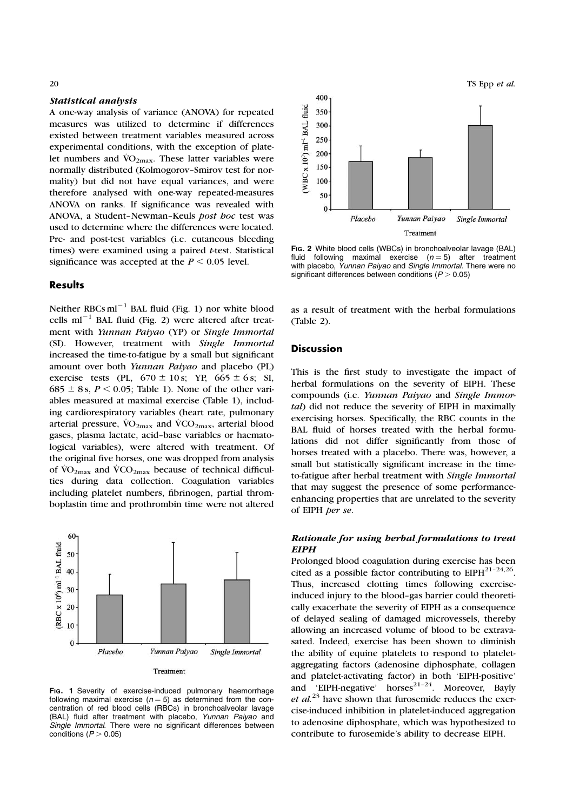#### Statistical analysis

A one-way analysis of variance (ANOVA) for repeated measures was utilized to determine if differences existed between treatment variables measured across experimental conditions, with the exception of platelet numbers and  $\rm{VO}_{2max}$ . These latter variables were normally distributed (Kolmogorov–Smirov test for normality) but did not have equal variances, and were therefore analysed with one-way repeated-measures ANOVA on ranks. If significance was revealed with ANOVA, a Student–Newman–Keuls post hoc test was used to determine where the differences were located. Pre- and post-test variables (i.e. cutaneous bleeding times) were examined using a paired t-test. Statistical significance was accepted at the  $P \le 0.05$  level.

#### **Results**

Neither RBCs  $ml^{-1}$  BAL fluid (Fig. 1) nor white blood cells  $ml^{-1}$  BAL fluid (Fig. 2) were altered after treatment with Yunnan Paiyao (YP) or Single Immortal (SI). However, treatment with Single Immortal increased the time-to-fatigue by a small but significant amount over both Yunnan Paiyao and placebo (PL) exercise tests (PL,  $670 \pm 10$  s; YP,  $665 \pm 6$  s; SI, 685  $\pm$  8 s,  $P < 0.05$ ; [Table 1\)](#page-4-0). None of the other variables measured at maximal exercise [\(Table 1\)](#page-4-0), including cardiorespiratory variables (heart rate, pulmonary arterial pressure,  $\rm \dot{VO}_{2max}$  and  $\rm \dot{V}CO_{2max}$ , arterial blood gases, plasma lactate, acid–base variables or haematological variables), were altered with treatment. Of the original five horses, one was dropped from analysis of  $\rm{VO_{2max}}$  and  $\rm{VCO_{2max}}$  because of technical difficulties during data collection. Coagulation variables including platelet numbers, fibrinogen, partial thromboplastin time and prothrombin time were not altered



FIG. 1 Severity of exercise-induced pulmonary haemorrhage following maximal exercise ( $n = 5$ ) as determined from the concentration of red blood cells (RBCs) in bronchoalveolar lavage (BAL) fluid after treatment with placebo, Yunnan Paiyao and Single Immortal. There were no significant differences between conditions ( $P > 0.05$ )

<span id="page-3-0"></span>20 TS Epp et al.



FIG. 2 White blood cells (WBCs) in bronchoalveolar lavage (BAL) fluid following maximal exercise  $(n = 5)$  after treatment with placebo, Yunnan Paiyao and Single Immortal. There were no significant differences between conditions ( $P > 0.05$ )

as a result of treatment with the herbal formulations ([Table 2](#page-4-0)).

#### **Discussion**

This is the first study to investigate the impact of herbal formulations on the severity of EIPH. These compounds (i.e. Yunnan Paiyao and Single Immortal) did not reduce the severity of EIPH in maximally exercising horses. Specifically, the RBC counts in the BAL fluid of horses treated with the herbal formulations did not differ significantly from those of horses treated with a placebo. There was, however, a small but statistically significant increase in the timeto-fatigue after herbal treatment with Single Immortal that may suggest the presence of some performanceenhancing properties that are unrelated to the severity of EIPH per se.

### Rationale for using herbal formulations to treat **EIPH**

Prolonged blood coagulation during exercise has been cited as a possible factor contributing to  $EIPH^{21-24,26}$ . Thus, increased clotting times following exerciseinduced injury to the blood–gas barrier could theoretically exacerbate the severity of EIPH as a consequence of delayed sealing of damaged microvessels, thereby allowing an increased volume of blood to be extravasated. Indeed, exercise has been shown to diminish the ability of equine platelets to respond to plateletaggregating factors (adenosine diphosphate, collagen and platelet-activating factor) in both 'EIPH-positive' and 'EIPH-negative' horses $21-24$ . Moreover, Bayly et  $al^{23}$  have shown that furosemide reduces the exercise-induced inhibition in platelet-induced aggregation to adenosine diphosphate, which was hypothesized to contribute to furosemide's ability to decrease EIPH.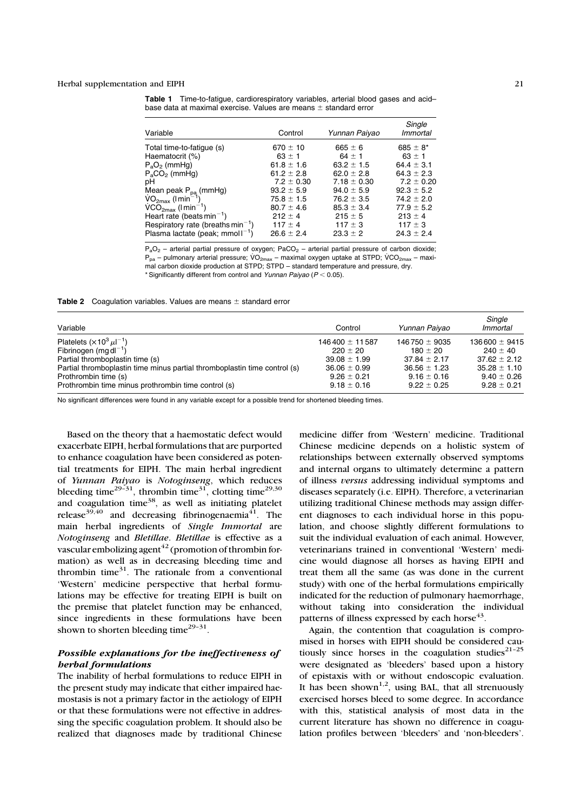| Variable                               | Control        | Yunnan Paiyao   | Single<br><i><b>Immortal</b></i> |
|----------------------------------------|----------------|-----------------|----------------------------------|
| Total time-to-fatigue (s)              | $670 \pm 10$   | $665 \pm 6$     | 685 $\pm$ 8*                     |
| Haematocrit (%)                        | $63 \pm 1$     | $64 \pm 1$      | $63 \pm 1$                       |
| $P_aO_2$ (mmHg)                        | 61.8 $\pm$ 1.6 | $63.2 \pm 1.5$  | 64.4 $\pm$ 3.1                   |
| $P_aCO_2$ (mmHg)                       | 61.2 $\pm$ 2.8 | 62.0 $\pm$ 2.8  | $64.3 \pm 2.3$                   |
| рH                                     | $7.2 \pm 0.30$ | $7.18 \pm 0.30$ | $7.2 \pm 0.20$                   |
| Mean peak $P_{pa}$ (mmHg)              | $93.2 \pm 5.9$ | $94.0 \pm 5.9$  | $92.3 \pm 5.2$                   |
| $VO2max$ (1 min <sup>-1</sup> )        | $75.8 \pm 1.5$ | $76.2 \pm 3.5$  | $74.2 + 2.0$                     |
| $VCO2max$ (1 min <sup>-1</sup> )       | $80.7 \pm 4.6$ | $85.3 \pm 3.4$  | $77.9 \pm 5.2$                   |
| Heart rate (beats min <sup>-1</sup> )  | $212 \pm 4$    | $215 \pm 5$     | $213 \pm 4$                      |
| Respiratory rate (breaths $min^{-1}$ ) | 117 $\pm$ 4    | $117 \pm 3$     | $117 \pm 3$                      |
| Plasma lactate (peak; mmol $I^{-1}$ )  | $26.6 \pm 2.4$ | $23.3 \pm 2$    | $24.3 \pm 2.4$                   |

<span id="page-4-0"></span>Table 1 Time-to-fatigue, cardiorespiratory variables, arterial blood gases and acidbase data at maximal exercise. Values are means  $\pm$  standard error

 $P_aO_2$  – arterial partial pressure of oxygen; PaCO<sub>2</sub> – arterial partial pressure of carbon dioxide;  $P_{pa}$  – pulmonary arterial pressure; VO<sub>2max</sub> – maximal oxygen uptake at STPD; VCO<sub>2max</sub> – maximal carbon dioxide production at STPD; STPD – standard temperature and pressure, dry.

\* Significantly different from control and Yunnan Paiyao ( $P < 0.05$ ).

**Table 2** Coagulation variables. Values are means  $\pm$  standard error

| Variable                                                                  | Control            | Yunnan Paiyao     | Single<br><i>Immortal</i> |
|---------------------------------------------------------------------------|--------------------|-------------------|---------------------------|
| Platelets $(x10^3 \mu l^{-1})$                                            | 146400 $\pm$ 11587 | $146750 \pm 9035$ | $136600 \pm 9415$         |
| Fibrinogen (mg dl <sup>-1</sup> )                                         | $220 \pm 20$       | $180 \pm 20$      | $240 \pm 40$              |
| Partial thromboplastin time (s)                                           | $39.08 \pm 1.99$   | $37.84 \pm 2.17$  | $37.62 \pm 2.12$          |
| Partial thromboplastin time minus partial thromboplastin time control (s) | $36.06 \pm 0.99$   | $36.56 \pm 1.23$  | $35.28 \pm 1.10$          |
| Prothrombin time (s)                                                      | $9.26 \pm 0.21$    | $9.16 \pm 0.16$   | $9.40 \pm 0.26$           |
| Prothrombin time minus prothrombin time control (s)                       | $9.18 \pm 0.16$    | $9.22 \pm 0.25$   | $9.28 \pm 0.21$           |

No significant differences were found in any variable except for a possible trend for shortened bleeding times.

Based on the theory that a haemostatic defect would exacerbate EIPH, herbal formulations that are purported to enhance coagulation have been considered as potential treatments for EIPH. The main herbal ingredient of Yunnan Paiyao is Notoginseng, which reduces bleeding time<sup>29–31</sup>, thrombin time<sup>31</sup>, clotting time<sup>29,30</sup> and coagulation time<sup>38</sup>, as well as initiating platelet release<sup>39,40</sup> and decreasing fibrinogenaemia<sup>41</sup>. The main herbal ingredients of Single Immortal are Notoginseng and Bletillae. Bletillae is effective as a vascular embolizing agent $^{42}$  (promotion of thrombin formation) as well as in decreasing bleeding time and thrombin time $3<sup>1</sup>$ . The rationale from a conventional 'Western' medicine perspective that herbal formulations may be effective for treating EIPH is built on the premise that platelet function may be enhanced, since ingredients in these formulations have been shown to shorten bleeding time<sup>29-31</sup>.

#### Possible explanations for the ineffectiveness of herbal formulations

The inability of herbal formulations to reduce EIPH in the present study may indicate that either impaired haemostasis is not a primary factor in the aetiology of EIPH or that these formulations were not effective in addressing the specific coagulation problem. It should also be realized that diagnoses made by traditional Chinese medicine differ from 'Western' medicine. Traditional Chinese medicine depends on a holistic system of relationships between externally observed symptoms and internal organs to ultimately determine a pattern of illness versus addressing individual symptoms and diseases separately (i.e. EIPH). Therefore, a veterinarian utilizing traditional Chinese methods may assign different diagnoses to each individual horse in this population, and choose slightly different formulations to suit the individual evaluation of each animal. However, veterinarians trained in conventional 'Western' medicine would diagnose all horses as having EIPH and treat them all the same (as was done in the current study) with one of the herbal formulations empirically indicated for the reduction of pulmonary haemorrhage, without taking into consideration the individual patterns of illness expressed by each horse<sup>43</sup>.

Again, the contention that coagulation is compromised in horses with EIPH should be considered cautiously since horses in the coagulation studies $21-25$ were designated as 'bleeders' based upon a history of epistaxis with or without endoscopic evaluation. It has been shown<sup>1,2</sup>, using BAL, that all strenuously exercised horses bleed to some degree. In accordance with this, statistical analysis of most data in the current literature has shown no difference in coagulation profiles between 'bleeders' and 'non-bleeders'.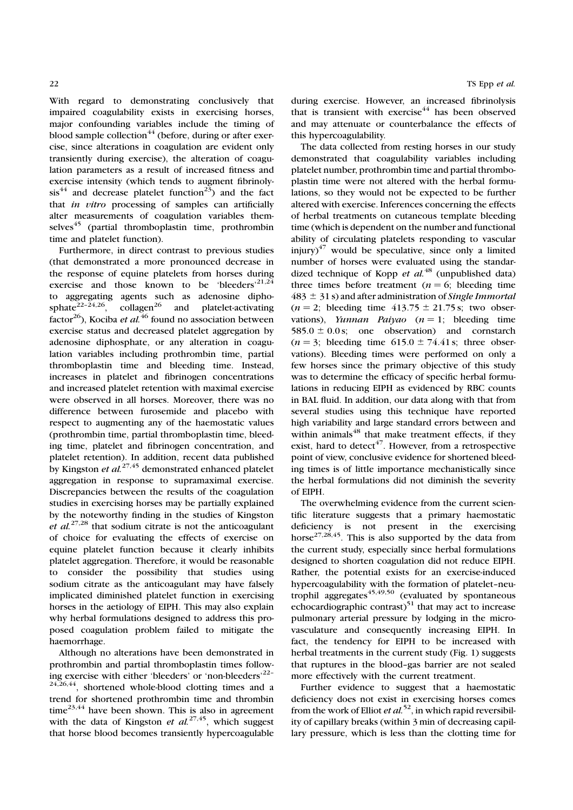With regard to demonstrating conclusively that impaired coagulability exists in exercising horses, major confounding variables include the timing of blood sample collection $44$  (before, during or after exercise, since alterations in coagulation are evident only transiently during exercise), the alteration of coagulation parameters as a result of increased fitness and exercise intensity (which tends to augment fibrinoly- $\sin^{44}$  and decrease platelet function<sup>23</sup>) and the fact that *in vitro* processing of samples can artificially alter measurements of coagulation variables them $selves<sup>45</sup>$  (partial thromboplastin time, prothrombin time and platelet function).

Furthermore, in direct contrast to previous studies (that demonstrated a more pronounced decrease in the response of equine platelets from horses during exercise and those known to be 'bleeders'<sup>21,24</sup> to aggregating agents such as adenosine diphosphate<sup>22–24,26</sup>, collagen<sup>26</sup> and platelet-activating  $f_{\text{factor}}^{26}$ , Kociba *et al.*<sup>46</sup> found no association between exercise status and decreased platelet aggregation by adenosine diphosphate, or any alteration in coagulation variables including prothrombin time, partial thromboplastin time and bleeding time. Instead, increases in platelet and fibrinogen concentrations and increased platelet retention with maximal exercise were observed in all horses. Moreover, there was no difference between furosemide and placebo with respect to augmenting any of the haemostatic values (prothrombin time, partial thromboplastin time, bleeding time, platelet and fibrinogen concentration, and platelet retention). In addition, recent data published by Kingston *et al.*<sup>27,45</sup> demonstrated enhanced platelet aggregation in response to supramaximal exercise. Discrepancies between the results of the coagulation studies in exercising horses may be partially explained by the noteworthy finding in the studies of Kingston et  $al^{27,28}$  that sodium citrate is not the anticoagulant of choice for evaluating the effects of exercise on equine platelet function because it clearly inhibits platelet aggregation. Therefore, it would be reasonable to consider the possibility that studies using sodium citrate as the anticoagulant may have falsely implicated diminished platelet function in exercising horses in the aetiology of EIPH. This may also explain why herbal formulations designed to address this proposed coagulation problem failed to mitigate the haemorrhage.

Although no alterations have been demonstrated in prothrombin and partial thromboplastin times following exercise with either 'bleeders' or 'non-bleeders'22–  $24,26,44$ , shortened whole-blood clotting times and a trend for shortened prothrombin time and thrombin time<sup>23,44</sup> have been shown. This is also in agreement with the data of Kingston et  $al^{27,45}$ , which suggest that horse blood becomes transiently hypercoagulable during exercise. However, an increased fibrinolysis that is transient with exercise<sup>44</sup> has been observed and may attenuate or counterbalance the effects of this hypercoagulability.

The data collected from resting horses in our study demonstrated that coagulability variables including platelet number, prothrombin time and partial thromboplastin time were not altered with the herbal formulations, so they would not be expected to be further altered with exercise. Inferences concerning the effects of herbal treatments on cutaneous template bleeding time (which is dependent on the number and functional ability of circulating platelets responding to vascular injury) $47$  would be speculative, since only a limited number of horses were evaluated using the standardized technique of Kopp *et al.*<sup>48</sup> (unpublished data) three times before treatment ( $n = 6$ ; bleeding time  $483 \pm 31$  s) and after administration of *Single Immortal*  $(n = 2;$  bleeding time  $413.75 \pm 21.75$  s; two observations), Yunnan Paiyao  $(n = 1;$  bleeding time 585.0  $\pm$  0.0 s; one observation) and cornstarch  $(n = 3;$  bleeding time 615.0  $\pm$  74.41 s; three observations). Bleeding times were performed on only a few horses since the primary objective of this study was to determine the efficacy of specific herbal formulations in reducing EIPH as evidenced by RBC counts in BAL fluid. In addition, our data along with that from several studies using this technique have reported high variability and large standard errors between and within animals<sup>48</sup> that make treatment effects, if they exist, hard to detect<sup>47</sup>. However, from a retrospective point of view, conclusive evidence for shortened bleeding times is of little importance mechanistically since the herbal formulations did not diminish the severity of EIPH.

The overwhelming evidence from the current scientific literature suggests that a primary haemostatic deficiency is not present in the exercising horse<sup>27,28,45</sup>. This is also supported by the data from the current study, especially since herbal formulations designed to shorten coagulation did not reduce EIPH. Rather, the potential exists for an exercise-induced hypercoagulability with the formation of platelet–neutrophil aggregates $45,49,50$  (evaluated by spontaneous echocardiographic contrast) $51$  that may act to increase pulmonary arterial pressure by lodging in the microvasculature and consequently increasing EIPH. In fact, the tendency for EIPH to be increased with herbal treatments in the current study ([Fig. 1\)](#page-3-0) suggests that ruptures in the blood–gas barrier are not sealed more effectively with the current treatment.

Further evidence to suggest that a haemostatic deficiency does not exist in exercising horses comes from the work of Elliot et  $al$ <sup>52</sup>, in which rapid reversibility of capillary breaks (within 3 min of decreasing capillary pressure, which is less than the clotting time for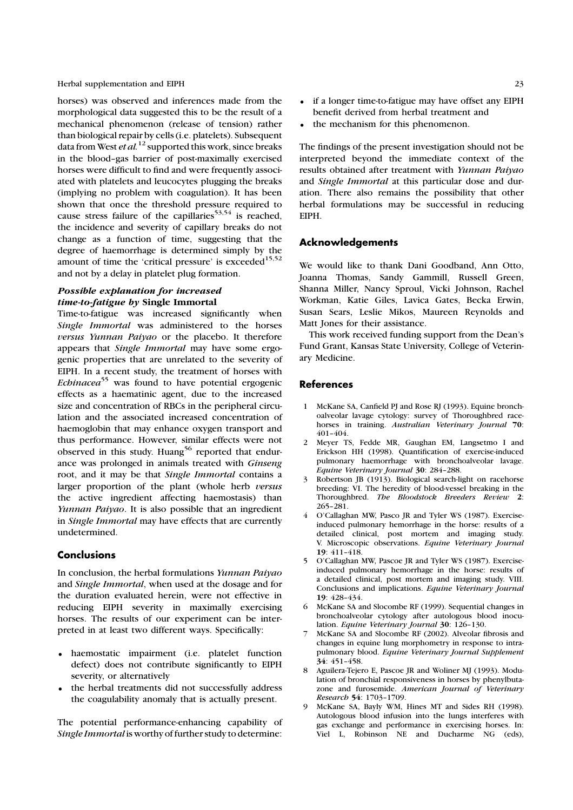Herbal supplementation and EIPH 23

horses) was observed and inferences made from the morphological data suggested this to be the result of a mechanical phenomenon (release of tension) rather than biological repair by cells (i.e. platelets). Subsequent data from West *et al.*<sup>12</sup> supported this work, since breaks in the blood–gas barrier of post-maximally exercised horses were difficult to find and were frequently associated with platelets and leucocytes plugging the breaks (implying no problem with coagulation). It has been shown that once the threshold pressure required to cause stress failure of the capillaries<sup>53,54</sup> is reached, the incidence and severity of capillary breaks do not change as a function of time, suggesting that the degree of haemorrhage is determined simply by the amount of time the 'critical pressure' is exceeded<sup>15,52</sup> and not by a delay in platelet plug formation.

### Possible explanation for increased time-to-fatigue by Single Immortal

Time-to-fatigue was increased significantly when Single Immortal was administered to the horses versus Yunnan Paiyao or the placebo. It therefore appears that Single Immortal may have some ergogenic properties that are unrelated to the severity of EIPH. In a recent study, the treatment of horses with *Echinacea*<sup>55</sup> was found to have potential ergogenic effects as a haematinic agent, due to the increased size and concentration of RBCs in the peripheral circulation and the associated increased concentration of haemoglobin that may enhance oxygen transport and thus performance. However, similar effects were not observed in this study. Huang<sup>56</sup> reported that endurance was prolonged in animals treated with Ginseng root, and it may be that Single Immortal contains a larger proportion of the plant (whole herb versus the active ingredient affecting haemostasis) than Yunnan Paiyao. It is also possible that an ingredient in Single Immortal may have effects that are currently undetermined.

#### **Conclusions**

In conclusion, the herbal formulations Yunnan Paiyao and Single Immortal, when used at the dosage and for the duration evaluated herein, were not effective in reducing EIPH severity in maximally exercising horses. The results of our experiment can be interpreted in at least two different ways. Specifically:

- . haemostatic impairment (i.e. platelet function defect) does not contribute significantly to EIPH severity, or alternatively
- . the herbal treatments did not successfully address the coagulability anomaly that is actually present.

The potential performance-enhancing capability of Single Immortal is worthy of further study to determine:

- . if a longer time-to-fatigue may have offset any EIPH benefit derived from herbal treatment and
- . the mechanism for this phenomenon.

The findings of the present investigation should not be interpreted beyond the immediate context of the results obtained after treatment with Yunnan Paiyao and Single Immortal at this particular dose and duration. There also remains the possibility that other herbal formulations may be successful in reducing EIPH.

#### Acknowledgements

We would like to thank Dani Goodband, Ann Otto, Joanna Thomas, Sandy Gammill, Russell Green, Shanna Miller, Nancy Sproul, Vicki Johnson, Rachel Workman, Katie Giles, Lavica Gates, Becka Erwin, Susan Sears, Leslie Mikos, Maureen Reynolds and Matt Jones for their assistance.

This work received funding support from the Dean's Fund Grant, Kansas State University, College of Veterinary Medicine.

#### References

- 1 McKane SA, Canfield PJ and Rose RJ (1993). Equine bronchoalveolar lavage cytology: survey of Thoroughbred racehorses in training. Australian Veterinary Journal 70: 401–404.
- 2 Meyer TS, Fedde MR, Gaughan EM, Langsetmo I and Erickson HH (1998). Quantification of exercise-induced pulmonary haemorrhage with bronchoalveolar lavage. Equine Veterinary Journal 30: 284–288.
- 3 Robertson JB (1913). Biological search-light on racehorse breeding: VI. The heredity of blood-vessel breaking in the Thoroughbred. The Bloodstock Breeders Review 2: 265–281.
- 4 O'Callaghan MW, Pasco JR and Tyler WS (1987). Exerciseinduced pulmonary hemorrhage in the horse: results of a detailed clinical, post mortem and imaging study. V. Microscopic observations. Equine Veterinary Journal 19: 411–418.
- 5 O'Callaghan MW, Pascoe JR and Tyler WS (1987). Exerciseinduced pulmonary hemorrhage in the horse: results of a detailed clinical, post mortem and imaging study. VIII. Conclusions and implications. Equine Veterinary Journal  $19.428 - 434.$
- 6 McKane SA and Slocombe RF (1999). Sequential changes in bronchoalveolar cytology after autologous blood inoculation. Equine Veterinary Journal 30: 126–130.
- McKane SA and Slocombe RF (2002). Alveolar fibrosis and changes in equine lung morphometry in response to intrapulmonary blood. Equine Veterinary Journal Supplement 34: 451–458.
- 8 Aguilera-Tejero E, Pascoe JR and Woliner MJ (1993). Modulation of bronchial responsiveness in horses by phenylbutazone and furosemide. American Journal of Veterinary Research 54: 1703–1709.
- 9 McKane SA, Bayly WM, Hines MT and Sides RH (1998). Autologous blood infusion into the lungs interferes with gas exchange and performance in exercising horses. In: Viel L, Robinson NE and Ducharme NG (eds),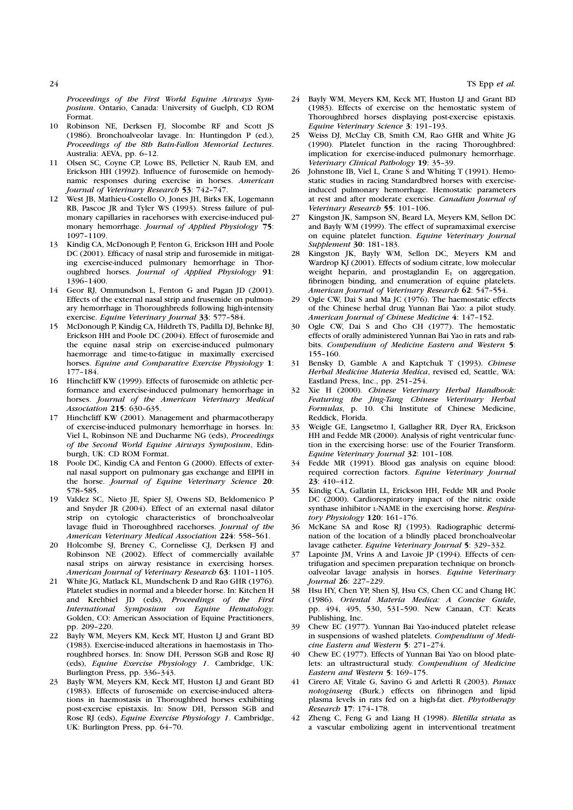24 TS Epp et al.

Proceedings of the First World Equine Airways Symposium. Ontario, Canada: University of Guelph, CD ROM Format.

- 10 Robinson NE, Derksen FJ, Slocombe RF and Scott JS (1986). Bronchoalveolar lavage. In: Huntingdon P (ed.), Proceedings of the 8th Bain-Fallon Memorial Lectures. Australia: AEVA, pp. 6–12.
- 11 Olsen SC, Coyne CP, Lowe BS, Pelletier N, Raub EM, and Erickson HH (1992). Influence of furosemide on hemodynamic responses during exercise in horses. American Journal of Veterinary Research 53: 742-747.
- 12 West JB, Mathieu-Costello O, Jones JH, Birks EK, Logemann RB, Pascoe JR and Tyler WS (1993). Stress failure of pulmonary capillaries in racehorses with exercise-induced pulmonary hemorrhage. Journal of Applied Physiology 75: 1097–1109.
- 13 Kindig CA, McDonough P, Fenton G, Erickson HH and Poole DC (2001). Efficacy of nasal strip and furosemide in mitigating exercise-induced pulmonary hemorrhage in Thoroughbred horses. Journal of Applied Physiology 91: 1396–1400.
- 14 Geor RJ, Ommundson L, Fenton G and Pagan JD (2001). Effects of the external nasal strip and frusemide on pulmonary hemorrhage in Thoroughbreds following high-intensity exercise. Equine Veterinary Journal 33: 577–584.
- 15 McDonough P, Kindig CA, Hildreth TS, Padilla DJ, Behnke BJ, Erickson HH and Poole DC (2004). Effect of furosemide and the equine nasal strip on exercise-induced pulmonary haemorrage and time-to-fatigue in maximally exercised horses. Equine and Comparative Exercise Physiology 1: 177–184.
- 16 Hinchcliff KW (1999). Effects of furosemide on athletic performance and exercise-induced pulmonary hemorrhage in horses. Journal of the American Veterinary Medical Association 215: 630–635.
- 17 Hinchcliff KW (2001). Management and pharmacotherapy of exercise-induced pulmonary hemorrhage in horses. In: Viel L, Robinson NE and Ducharme NG (eds), Proceedings of the Second World Equine Airways Symposium, Edinburgh, UK: CD ROM Format.
- 18 Poole DC, Kindig CA and Fenton G (2000). Effects of external nasal support on pulmonary gas exchange and EIPH in the horse. Journal of Equine Veterinary Science 20: 578–585.
- 19 Valdez SC, Nieto JE, Spier SJ, Owens SD, Beldomenico P and Snyder JR (2004). Effect of an external nasal dilator strip on cytologic characteristics of bronchoalveolar lavage fluid in Thoroughbred racehorses. Journal of the American Veterinary Medical Association 224: 558–561.
- 20 Holcombe SJ, Breney C, Cornelisse CJ, Derksen FJ and Robinson NE (2002). Effect of commercially available nasal strips on airway resistance in exercising horses. American Journal of Veterinary Research 63: 1101–1105.
- 21 White JG, Matlack KL, Mundschenk D and Rao GHR (1976). Platelet studies in normal and a bleeder horse. In: Kitchen H and Krehbiel JD (eds), Proceedings of the First International Symposium on Equine Hematology. Golden, CO: American Association of Equine Practitioners, pp. 209–220.
- 22 Bayly WM, Meyers KM, Keck MT, Huston LJ and Grant BD (1983). Exercise-induced alterations in haemostasis in Thoroughbred horses. In: Snow DH, Persson SGB and Rose RJ (eds), Equine Exercise Physiology 1. Cambridge, UK: Burlington Press, pp. 336–343.
- 23 Bayly WM, Meyers KM, Keck MT, Huston LJ and Grant BD (1983). Effects of furosemide on exercise-induced alterations in haemostasis in Thoroughbred horses exhibiting post-exercise epistaxis. In: Snow DH, Persson SGB and Rose RJ (eds), Equine Exercise Physiology 1. Cambridge, UK: Burlington Press, pp. 64–70.
- 24 Bayly WM, Meyers KM, Keck MT, Huston LJ and Grant BD (1983). Effects of exercise on the hemostatic system of Thoroughbred horses displaying post-exercise epistaxis. Equine Veterinary Science 3: 191–193.
- 25 Weiss DJ, McClay CB, Smith CM, Rao GHR and White JG (1990). Platelet function in the racing Thoroughbred: implication for exercise-induced pulmonary hemorrhage. Veterinary Clinical Pathology 19: 35–39.
- 26 Johnstone IB, Viel L, Crane S and Whiting T (1991). Hemostatic studies in racing Standardbred horses with exerciseinduced pulmonary hemorrhage. Hemostatic parameters at rest and after moderate exercise. Canadian Journal of Veterinary Research 55: 101-106.
- 27 Kingston JK, Sampson SN, Beard LA, Meyers KM, Sellon DC and Bayly WM (1999). The effect of supramaximal exercise on equine platelet function. Equine Veterinary Journal Supplement 30: 181–183.
- Kingston JK, Bayly WM, Sellon DC, Meyers KM and Wardrop KJ (2001). Effects of sodium citrate, low molecular weight heparin, and prostaglandin  $E_1$  on aggregation, fibrinogen binding, and enumeration of equine platelets. American Journal of Veterinary Research 62: 547–554.
- Ogle CW, Dai S and Ma JC (1976). The haemostatic effects of the Chinese herbal drug Yunnan Bai Yao: a pilot study. American Journal of Chinese Medicine 4: 147–152.
- 30 Ogle CW, Dai S and Cho CH (1977). The hemostatic effects of orally administered Yunnan Bai Yao in rats and rabbits. Compendium of Medicine Eastern and Western 5: 155–160.
- 31 Bensky D, Gamble A and Kaptchuk T (1993). Chinese Herbal Medicine Materia Medica, revised ed, Seattle, WA: Eastland Press, Inc., pp. 251–254.
- 32 Xie H (2000). Chinese Veterinary Herbal Handbook: Featuring the Jing-Tang Chinese Veterinary Herbal Formulas, p. 10. Chi Institute of Chinese Medicine, Reddick, Florida.
- 33 Weigle GE, Langsetmo I, Gallagher RR, Dyer RA, Erickson HH and Fedde MR (2000). Analysis of right ventricular function in the exercising horse: use of the Fourier Transform. Equine Veterinary Journal 32: 101–108.
- 34 Fedde MR (1991). Blood gas analysis on equine blood: required correction factors. Equine Veterinary Journal  $23 \cdot 410 - 412$ .
- 35 Kindig CA, Gallatin LL, Erickson HH, Fedde MR and Poole DC (2000). Cardiorespiratory impact of the nitric oxide synthase inhibitor L-NAME in the exercising horse. Respiratory Physiology 120: 161-176.
- 36 McKane SA and Rose RJ (1993). Radiographic determination of the location of a blindly placed bronchoalveolar lavage catheter. Equine Veterinary Journal 5: 329–332.
- 37 Lapointe JM, Vrins A and Lavoie JP (1994). Effects of centrifugation and specimen preparation technique on bronchoalveolar lavage analysis in horses. Equine Veterinary Journal 26: 227-229.
- 38 Hsu HY, Chen YP, Shen SJ, Hsu CS, Chen CC and Chang HC (1986). Oriental Materia Medica: A Concise Guide, pp. 494, 495, 530, 531–590. New Canaan, CT: Keats Publishing, Inc.
- 39 Chew EC (1977). Yunnan Bai Yao-induced platelet release in suspensions of washed platelets. Compendium of Medicine Eastern and Western 5: 271–274.
- 40 Chew EC (1977). Effects of Yunnan Bai Yao on blood platelets: an ultrastructural study. Compendium of Medicine Eastern and Western 5: 169–175.
- 41 Cirero AF, Vitale G, Savino G and Arletti R (2003). Panax notoginseng (Burk.) effects on fibrinogen and lipid plasma levels in rats fed on a high-fat diet. Phytotherapy Research 17: 174–178.
- 42 Zheng C, Feng G and Liang H (1998). Bletilla striata as a vascular embolizing agent in interventional treatment